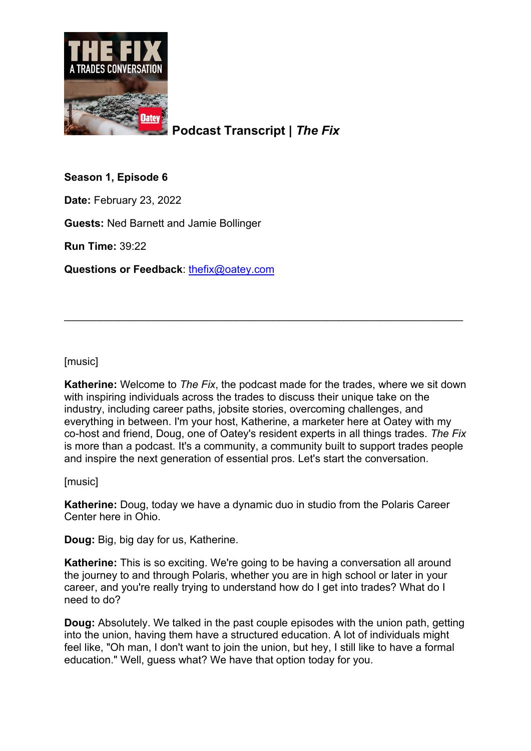

**Podcast Transcript |** *The Fix*

**Season 1, Episode 6**

**Date:** February 23, 2022

**Guests:** Ned Barnett and Jamie Bollinger

**Run Time:** 39:22

**Questions or Feedback**: [thefix@oatey.com](mailto:thefix@oatey.com)

[music]

**Katherine:** Welcome to *The Fix*, the podcast made for the trades, where we sit down with inspiring individuals across the trades to discuss their unique take on the industry, including career paths, jobsite stories, overcoming challenges, and everything in between. I'm your host, Katherine, a marketer here at Oatey with my co-host and friend, Doug, one of Oatey's resident experts in all things trades. *The Fix* is more than a podcast. It's a community, a community built to support trades people and inspire the next generation of essential pros. Let's start the conversation.

\_\_\_\_\_\_\_\_\_\_\_\_\_\_\_\_\_\_\_\_\_\_\_\_\_\_\_\_\_\_\_\_\_\_\_\_\_\_\_\_\_\_\_\_\_\_\_\_\_\_\_\_\_\_\_\_\_\_\_\_\_\_\_\_\_\_\_

[music]

**Katherine:** Doug, today we have a dynamic duo in studio from the Polaris Career Center here in Ohio.

**Doug:** Big, big day for us, Katherine.

**Katherine:** This is so exciting. We're going to be having a conversation all around the journey to and through Polaris, whether you are in high school or later in your career, and you're really trying to understand how do I get into trades? What do I need to do?

**Doug:** Absolutely. We talked in the past couple episodes with the union path, getting into the union, having them have a structured education. A lot of individuals might feel like, "Oh man, I don't want to join the union, but hey, I still like to have a formal education." Well, guess what? We have that option today for you.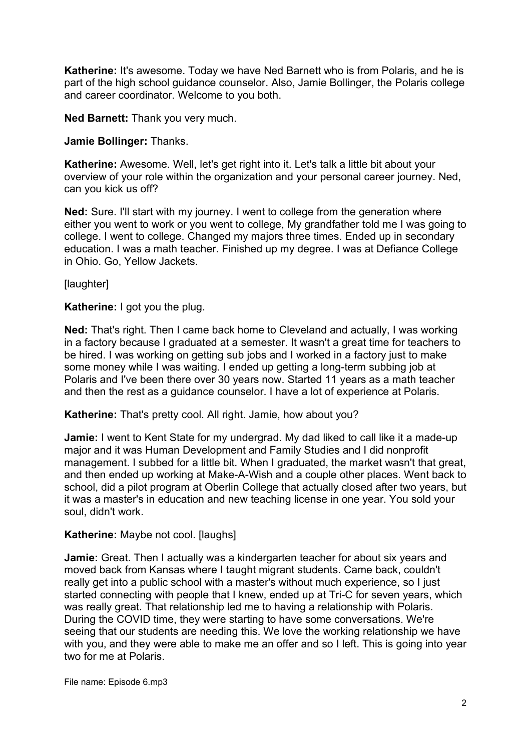**Katherine:** It's awesome. Today we have Ned Barnett who is from Polaris, and he is part of the high school guidance counselor. Also, Jamie Bollinger, the Polaris college and career coordinator. Welcome to you both.

**Ned Barnett:** Thank you very much.

#### **Jamie Bollinger:** Thanks.

**Katherine:** Awesome. Well, let's get right into it. Let's talk a little bit about your overview of your role within the organization and your personal career journey. Ned, can you kick us off?

**Ned:** Sure. I'll start with my journey. I went to college from the generation where either you went to work or you went to college, My grandfather told me I was going to college. I went to college. Changed my majors three times. Ended up in secondary education. I was a math teacher. Finished up my degree. I was at Defiance College in Ohio. Go, Yellow Jackets.

[laughter]

**Katherine:** I got you the plug.

**Ned:** That's right. Then I came back home to Cleveland and actually, I was working in a factory because I graduated at a semester. It wasn't a great time for teachers to be hired. I was working on getting sub jobs and I worked in a factory just to make some money while I was waiting. I ended up getting a long-term subbing job at Polaris and I've been there over 30 years now. Started 11 years as a math teacher and then the rest as a guidance counselor. I have a lot of experience at Polaris.

**Katherine:** That's pretty cool. All right. Jamie, how about you?

**Jamie:** I went to Kent State for my undergrad. My dad liked to call like it a made-up major and it was Human Development and Family Studies and I did nonprofit management. I subbed for a little bit. When I graduated, the market wasn't that great, and then ended up working at Make-A-Wish and a couple other places. Went back to school, did a pilot program at Oberlin College that actually closed after two years, but it was a master's in education and new teaching license in one year. You sold your soul, didn't work.

## **Katherine:** Maybe not cool. [laughs]

**Jamie:** Great. Then I actually was a kindergarten teacher for about six years and moved back from Kansas where I taught migrant students. Came back, couldn't really get into a public school with a master's without much experience, so I just started connecting with people that I knew, ended up at Tri-C for seven years, which was really great. That relationship led me to having a relationship with Polaris. During the COVID time, they were starting to have some conversations. We're seeing that our students are needing this. We love the working relationship we have with you, and they were able to make me an offer and so I left. This is going into year two for me at Polaris.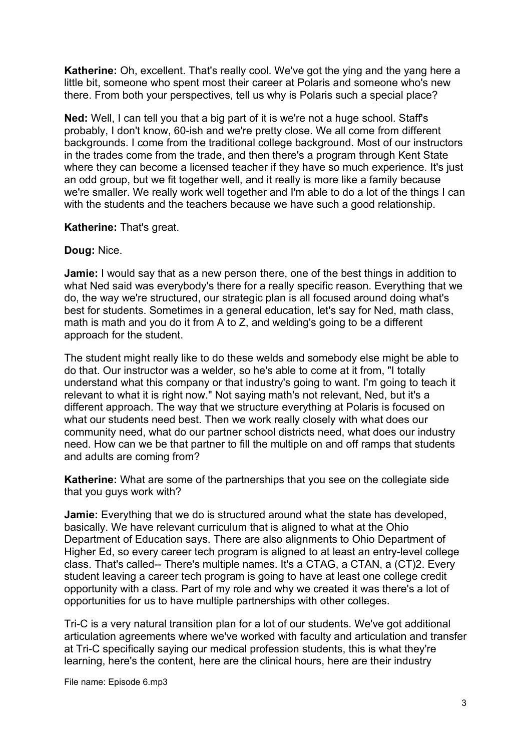**Katherine:** Oh, excellent. That's really cool. We've got the ying and the yang here a little bit, someone who spent most their career at Polaris and someone who's new there. From both your perspectives, tell us why is Polaris such a special place?

**Ned:** Well, I can tell you that a big part of it is we're not a huge school. Staff's probably, I don't know, 60-ish and we're pretty close. We all come from different backgrounds. I come from the traditional college background. Most of our instructors in the trades come from the trade, and then there's a program through Kent State where they can become a licensed teacher if they have so much experience. It's just an odd group, but we fit together well, and it really is more like a family because we're smaller. We really work well together and I'm able to do a lot of the things I can with the students and the teachers because we have such a good relationship.

## **Katherine:** That's great.

# **Doug:** Nice.

**Jamie:** I would say that as a new person there, one of the best things in addition to what Ned said was everybody's there for a really specific reason. Everything that we do, the way we're structured, our strategic plan is all focused around doing what's best for students. Sometimes in a general education, let's say for Ned, math class, math is math and you do it from A to Z, and welding's going to be a different approach for the student.

The student might really like to do these welds and somebody else might be able to do that. Our instructor was a welder, so he's able to come at it from, "I totally understand what this company or that industry's going to want. I'm going to teach it relevant to what it is right now." Not saying math's not relevant, Ned, but it's a different approach. The way that we structure everything at Polaris is focused on what our students need best. Then we work really closely with what does our community need, what do our partner school districts need, what does our industry need. How can we be that partner to fill the multiple on and off ramps that students and adults are coming from?

**Katherine:** What are some of the partnerships that you see on the collegiate side that you guys work with?

**Jamie:** Everything that we do is structured around what the state has developed, basically. We have relevant curriculum that is aligned to what at the Ohio Department of Education says. There are also alignments to Ohio Department of Higher Ed, so every career tech program is aligned to at least an entry-level college class. That's called-- There's multiple names. It's a CTAG, a CTAN, a (CT)2. Every student leaving a career tech program is going to have at least one college credit opportunity with a class. Part of my role and why we created it was there's a lot of opportunities for us to have multiple partnerships with other colleges.

Tri-C is a very natural transition plan for a lot of our students. We've got additional articulation agreements where we've worked with faculty and articulation and transfer at Tri-C specifically saying our medical profession students, this is what they're learning, here's the content, here are the clinical hours, here are their industry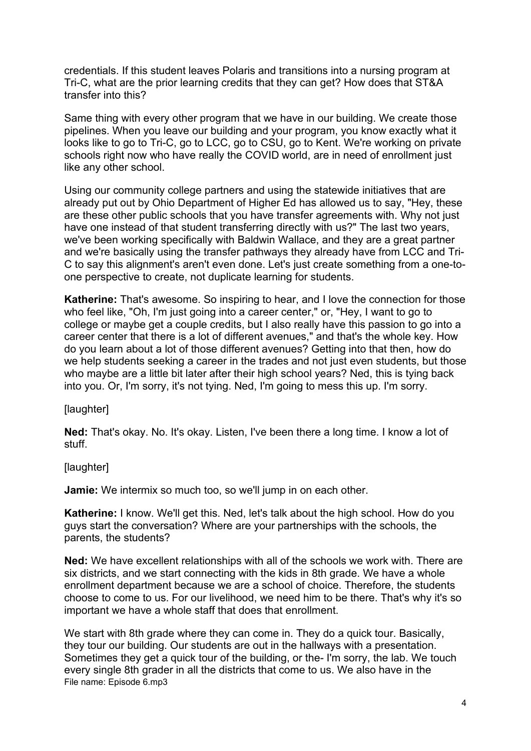credentials. If this student leaves Polaris and transitions into a nursing program at Tri-C, what are the prior learning credits that they can get? How does that ST&A transfer into this?

Same thing with every other program that we have in our building. We create those pipelines. When you leave our building and your program, you know exactly what it looks like to go to Tri-C, go to LCC, go to CSU, go to Kent. We're working on private schools right now who have really the COVID world, are in need of enrollment just like any other school.

Using our community college partners and using the statewide initiatives that are already put out by Ohio Department of Higher Ed has allowed us to say, "Hey, these are these other public schools that you have transfer agreements with. Why not just have one instead of that student transferring directly with us?" The last two years, we've been working specifically with Baldwin Wallace, and they are a great partner and we're basically using the transfer pathways they already have from LCC and Tri-C to say this alignment's aren't even done. Let's just create something from a one-toone perspective to create, not duplicate learning for students.

**Katherine:** That's awesome. So inspiring to hear, and I love the connection for those who feel like, "Oh, I'm just going into a career center," or, "Hey, I want to go to college or maybe get a couple credits, but I also really have this passion to go into a career center that there is a lot of different avenues," and that's the whole key. How do you learn about a lot of those different avenues? Getting into that then, how do we help students seeking a career in the trades and not just even students, but those who maybe are a little bit later after their high school years? Ned, this is tying back into you. Or, I'm sorry, it's not tying. Ned, I'm going to mess this up. I'm sorry.

[laughter]

**Ned:** That's okay. No. It's okay. Listen, I've been there a long time. I know a lot of stuff.

[laughter]

**Jamie:** We intermix so much too, so we'll jump in on each other.

**Katherine:** I know. We'll get this. Ned, let's talk about the high school. How do you guys start the conversation? Where are your partnerships with the schools, the parents, the students?

**Ned:** We have excellent relationships with all of the schools we work with. There are six districts, and we start connecting with the kids in 8th grade. We have a whole enrollment department because we are a school of choice. Therefore, the students choose to come to us. For our livelihood, we need him to be there. That's why it's so important we have a whole staff that does that enrollment.

File name: Episode 6.mp3 We start with 8th grade where they can come in. They do a quick tour. Basically, they tour our building. Our students are out in the hallways with a presentation. Sometimes they get a quick tour of the building, or the- I'm sorry, the lab. We touch every single 8th grader in all the districts that come to us. We also have in the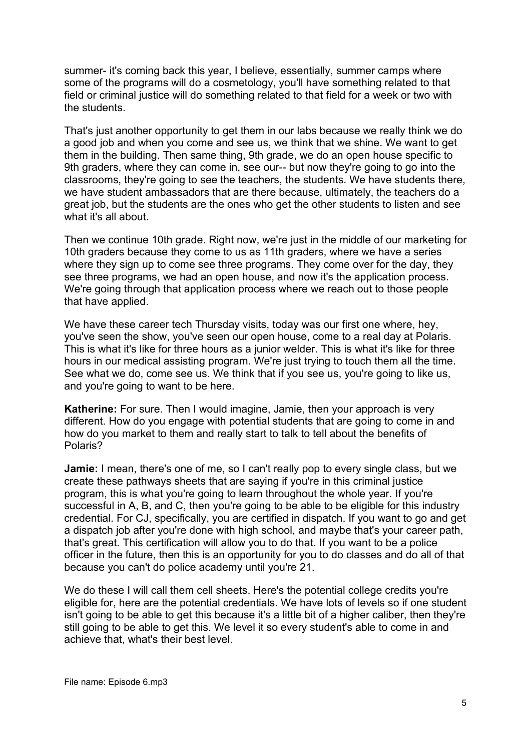summer- it's coming back this year, I believe, essentially, summer camps where some of the programs will do a cosmetology, you'll have something related to that field or criminal justice will do something related to that field for a week or two with the students.

That's just another opportunity to get them in our labs because we really think we do a good job and when you come and see us, we think that we shine. We want to get them in the building. Then same thing, 9th grade, we do an open house specific to 9th graders, where they can come in, see our-- but now they're going to go into the classrooms, they're going to see the teachers, the students. We have students there, we have student ambassadors that are there because, ultimately, the teachers do a great job, but the students are the ones who get the other students to listen and see what it's all about.

Then we continue 10th grade. Right now, we're just in the middle of our marketing for 10th graders because they come to us as 11th graders, where we have a series where they sign up to come see three programs. They come over for the day, they see three programs, we had an open house, and now it's the application process. We're going through that application process where we reach out to those people that have applied.

We have these career tech Thursday visits, today was our first one where, hey, you've seen the show, you've seen our open house, come to a real day at Polaris. This is what it's like for three hours as a junior welder. This is what it's like for three hours in our medical assisting program. We're just trying to touch them all the time. See what we do, come see us. We think that if you see us, you're going to like us, and you're going to want to be here.

**Katherine:** For sure. Then I would imagine, Jamie, then your approach is very different. How do you engage with potential students that are going to come in and how do you market to them and really start to talk to tell about the benefits of Polaris?

**Jamie:** I mean, there's one of me, so I can't really pop to every single class, but we create these pathways sheets that are saying if you're in this criminal justice program, this is what you're going to learn throughout the whole year. If you're successful in A, B, and C, then you're going to be able to be eligible for this industry credential. For CJ, specifically, you are certified in dispatch. If you want to go and get a dispatch job after you're done with high school, and maybe that's your career path, that's great. This certification will allow you to do that. If you want to be a police officer in the future, then this is an opportunity for you to do classes and do all of that because you can't do police academy until you're 21.

We do these I will call them cell sheets. Here's the potential college credits you're eligible for, here are the potential credentials. We have lots of levels so if one student isn't going to be able to get this because it's a little bit of a higher caliber, then they're still going to be able to get this. We level it so every student's able to come in and achieve that, what's their best level.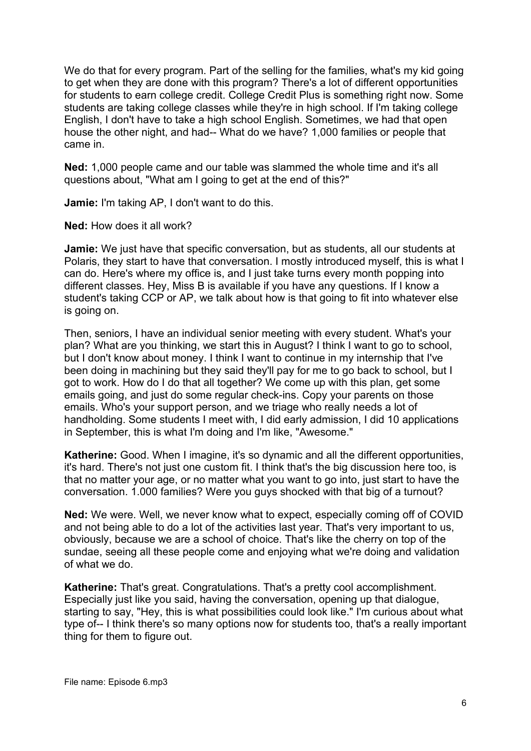We do that for every program. Part of the selling for the families, what's my kid going to get when they are done with this program? There's a lot of different opportunities for students to earn college credit. College Credit Plus is something right now. Some students are taking college classes while they're in high school. If I'm taking college English, I don't have to take a high school English. Sometimes, we had that open house the other night, and had-- What do we have? 1,000 families or people that came in.

**Ned:** 1,000 people came and our table was slammed the whole time and it's all questions about, "What am I going to get at the end of this?"

**Jamie:** I'm taking AP, I don't want to do this.

**Ned:** How does it all work?

**Jamie:** We just have that specific conversation, but as students, all our students at Polaris, they start to have that conversation. I mostly introduced myself, this is what I can do. Here's where my office is, and I just take turns every month popping into different classes. Hey, Miss B is available if you have any questions. If I know a student's taking CCP or AP, we talk about how is that going to fit into whatever else is going on.

Then, seniors, I have an individual senior meeting with every student. What's your plan? What are you thinking, we start this in August? I think I want to go to school, but I don't know about money. I think I want to continue in my internship that I've been doing in machining but they said they'll pay for me to go back to school, but I got to work. How do I do that all together? We come up with this plan, get some emails going, and just do some regular check-ins. Copy your parents on those emails. Who's your support person, and we triage who really needs a lot of handholding. Some students I meet with, I did early admission, I did 10 applications in September, this is what I'm doing and I'm like, "Awesome."

**Katherine:** Good. When I imagine, it's so dynamic and all the different opportunities, it's hard. There's not just one custom fit. I think that's the big discussion here too, is that no matter your age, or no matter what you want to go into, just start to have the conversation. 1.000 families? Were you guys shocked with that big of a turnout?

**Ned:** We were. Well, we never know what to expect, especially coming off of COVID and not being able to do a lot of the activities last year. That's very important to us, obviously, because we are a school of choice. That's like the cherry on top of the sundae, seeing all these people come and enjoying what we're doing and validation of what we do.

**Katherine:** That's great. Congratulations. That's a pretty cool accomplishment. Especially just like you said, having the conversation, opening up that dialogue, starting to say, "Hey, this is what possibilities could look like." I'm curious about what type of-- I think there's so many options now for students too, that's a really important thing for them to figure out.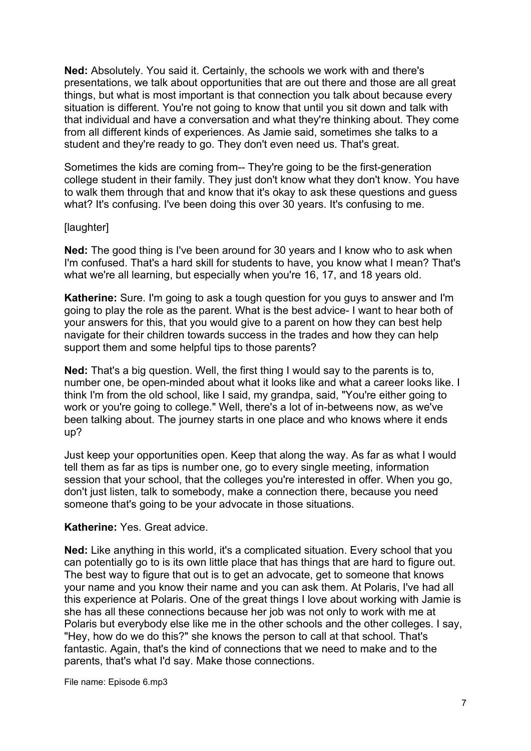**Ned:** Absolutely. You said it. Certainly, the schools we work with and there's presentations, we talk about opportunities that are out there and those are all great things, but what is most important is that connection you talk about because every situation is different. You're not going to know that until you sit down and talk with that individual and have a conversation and what they're thinking about. They come from all different kinds of experiences. As Jamie said, sometimes she talks to a student and they're ready to go. They don't even need us. That's great.

Sometimes the kids are coming from-- They're going to be the first-generation college student in their family. They just don't know what they don't know. You have to walk them through that and know that it's okay to ask these questions and guess what? It's confusing. I've been doing this over 30 years. It's confusing to me.

## [laughter]

**Ned:** The good thing is I've been around for 30 years and I know who to ask when I'm confused. That's a hard skill for students to have, you know what I mean? That's what we're all learning, but especially when you're 16, 17, and 18 years old.

**Katherine:** Sure. I'm going to ask a tough question for you guys to answer and I'm going to play the role as the parent. What is the best advice- I want to hear both of your answers for this, that you would give to a parent on how they can best help navigate for their children towards success in the trades and how they can help support them and some helpful tips to those parents?

**Ned:** That's a big question. Well, the first thing I would say to the parents is to, number one, be open-minded about what it looks like and what a career looks like. I think I'm from the old school, like I said, my grandpa, said, "You're either going to work or you're going to college." Well, there's a lot of in-betweens now, as we've been talking about. The journey starts in one place and who knows where it ends up?

Just keep your opportunities open. Keep that along the way. As far as what I would tell them as far as tips is number one, go to every single meeting, information session that your school, that the colleges you're interested in offer. When you go, don't just listen, talk to somebody, make a connection there, because you need someone that's going to be your advocate in those situations.

## **Katherine:** Yes. Great advice.

**Ned:** Like anything in this world, it's a complicated situation. Every school that you can potentially go to is its own little place that has things that are hard to figure out. The best way to figure that out is to get an advocate, get to someone that knows your name and you know their name and you can ask them. At Polaris, I've had all this experience at Polaris. One of the great things I love about working with Jamie is she has all these connections because her job was not only to work with me at Polaris but everybody else like me in the other schools and the other colleges. I say, "Hey, how do we do this?" she knows the person to call at that school. That's fantastic. Again, that's the kind of connections that we need to make and to the parents, that's what I'd say. Make those connections.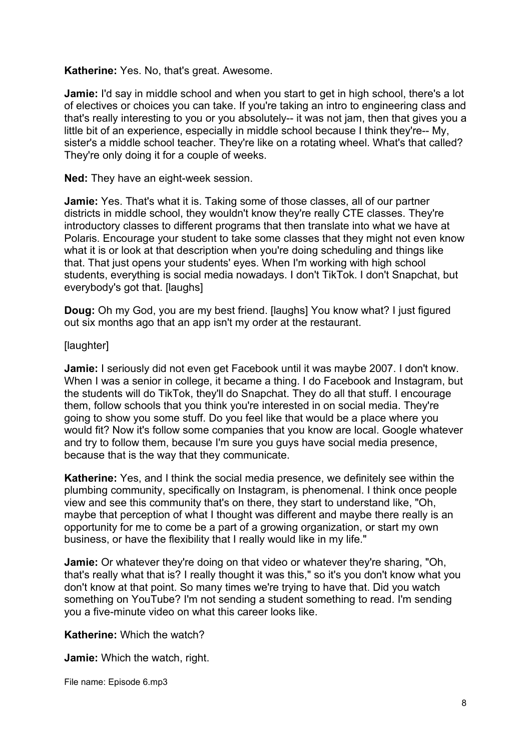#### **Katherine:** Yes. No, that's great. Awesome.

**Jamie:** I'd say in middle school and when you start to get in high school, there's a lot of electives or choices you can take. If you're taking an intro to engineering class and that's really interesting to you or you absolutely-- it was not jam, then that gives you a little bit of an experience, especially in middle school because I think they're-- My, sister's a middle school teacher. They're like on a rotating wheel. What's that called? They're only doing it for a couple of weeks.

**Ned:** They have an eight-week session.

**Jamie:** Yes. That's what it is. Taking some of those classes, all of our partner districts in middle school, they wouldn't know they're really CTE classes. They're introductory classes to different programs that then translate into what we have at Polaris. Encourage your student to take some classes that they might not even know what it is or look at that description when you're doing scheduling and things like that. That just opens your students' eyes. When I'm working with high school students, everything is social media nowadays. I don't TikTok. I don't Snapchat, but everybody's got that. [laughs]

**Doug:** Oh my God, you are my best friend. [laughs] You know what? I just figured out six months ago that an app isn't my order at the restaurant.

## [laughter]

**Jamie:** I seriously did not even get Facebook until it was maybe 2007. I don't know. When I was a senior in college, it became a thing. I do Facebook and Instagram, but the students will do TikTok, they'll do Snapchat. They do all that stuff. I encourage them, follow schools that you think you're interested in on social media. They're going to show you some stuff. Do you feel like that would be a place where you would fit? Now it's follow some companies that you know are local. Google whatever and try to follow them, because I'm sure you guys have social media presence, because that is the way that they communicate.

**Katherine:** Yes, and I think the social media presence, we definitely see within the plumbing community, specifically on Instagram, is phenomenal. I think once people view and see this community that's on there, they start to understand like, "Oh, maybe that perception of what I thought was different and maybe there really is an opportunity for me to come be a part of a growing organization, or start my own business, or have the flexibility that I really would like in my life."

**Jamie:** Or whatever they're doing on that video or whatever they're sharing, "Oh, that's really what that is? I really thought it was this," so it's you don't know what you don't know at that point. So many times we're trying to have that. Did you watch something on YouTube? I'm not sending a student something to read. I'm sending you a five-minute video on what this career looks like.

**Katherine:** Which the watch?

**Jamie:** Which the watch, right.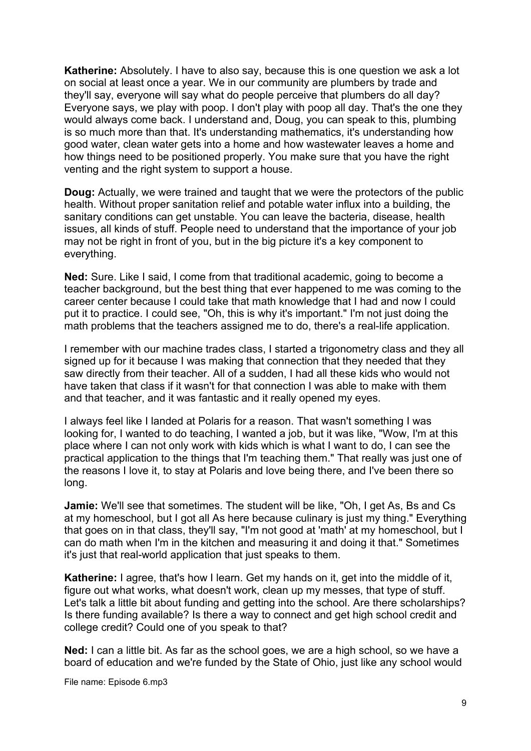**Katherine:** Absolutely. I have to also say, because this is one question we ask a lot on social at least once a year. We in our community are plumbers by trade and they'll say, everyone will say what do people perceive that plumbers do all day? Everyone says, we play with poop. I don't play with poop all day. That's the one they would always come back. I understand and, Doug, you can speak to this, plumbing is so much more than that. It's understanding mathematics, it's understanding how good water, clean water gets into a home and how wastewater leaves a home and how things need to be positioned properly. You make sure that you have the right venting and the right system to support a house.

**Doug:** Actually, we were trained and taught that we were the protectors of the public health. Without proper sanitation relief and potable water influx into a building, the sanitary conditions can get unstable. You can leave the bacteria, disease, health issues, all kinds of stuff. People need to understand that the importance of your job may not be right in front of you, but in the big picture it's a key component to everything.

**Ned:** Sure. Like I said, I come from that traditional academic, going to become a teacher background, but the best thing that ever happened to me was coming to the career center because I could take that math knowledge that I had and now I could put it to practice. I could see, "Oh, this is why it's important." I'm not just doing the math problems that the teachers assigned me to do, there's a real-life application.

I remember with our machine trades class, I started a trigonometry class and they all signed up for it because I was making that connection that they needed that they saw directly from their teacher. All of a sudden, I had all these kids who would not have taken that class if it wasn't for that connection I was able to make with them and that teacher, and it was fantastic and it really opened my eyes.

I always feel like I landed at Polaris for a reason. That wasn't something I was looking for, I wanted to do teaching, I wanted a job, but it was like, "Wow, I'm at this place where I can not only work with kids which is what I want to do, I can see the practical application to the things that I'm teaching them." That really was just one of the reasons I love it, to stay at Polaris and love being there, and I've been there so long.

**Jamie:** We'll see that sometimes. The student will be like, "Oh, I get As, Bs and Cs at my homeschool, but I got all As here because culinary is just my thing." Everything that goes on in that class, they'll say, "I'm not good at 'math' at my homeschool, but I can do math when I'm in the kitchen and measuring it and doing it that." Sometimes it's just that real-world application that just speaks to them.

**Katherine:** I agree, that's how I learn. Get my hands on it, get into the middle of it, figure out what works, what doesn't work, clean up my messes, that type of stuff. Let's talk a little bit about funding and getting into the school. Are there scholarships? Is there funding available? Is there a way to connect and get high school credit and college credit? Could one of you speak to that?

**Ned:** I can a little bit. As far as the school goes, we are a high school, so we have a board of education and we're funded by the State of Ohio, just like any school would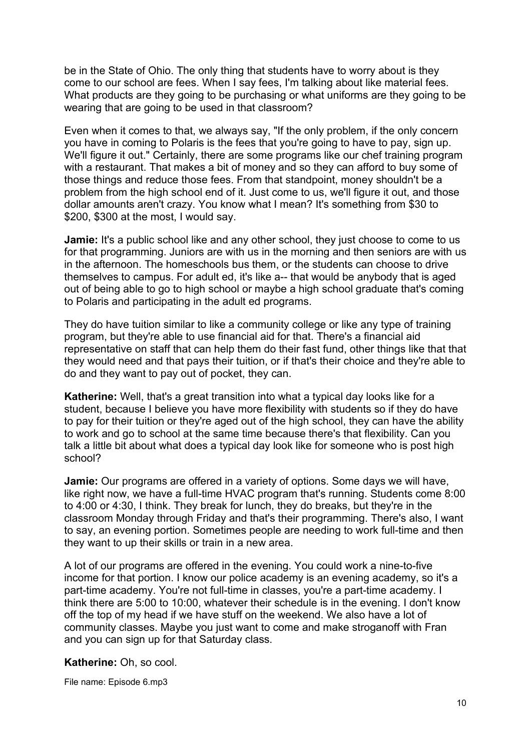be in the State of Ohio. The only thing that students have to worry about is they come to our school are fees. When I say fees, I'm talking about like material fees. What products are they going to be purchasing or what uniforms are they going to be wearing that are going to be used in that classroom?

Even when it comes to that, we always say, "If the only problem, if the only concern you have in coming to Polaris is the fees that you're going to have to pay, sign up. We'll figure it out." Certainly, there are some programs like our chef training program with a restaurant. That makes a bit of money and so they can afford to buy some of those things and reduce those fees. From that standpoint, money shouldn't be a problem from the high school end of it. Just come to us, we'll figure it out, and those dollar amounts aren't crazy. You know what I mean? It's something from \$30 to \$200, \$300 at the most, I would say.

**Jamie:** It's a public school like and any other school, they just choose to come to us for that programming. Juniors are with us in the morning and then seniors are with us in the afternoon. The homeschools bus them, or the students can choose to drive themselves to campus. For adult ed, it's like a-- that would be anybody that is aged out of being able to go to high school or maybe a high school graduate that's coming to Polaris and participating in the adult ed programs.

They do have tuition similar to like a community college or like any type of training program, but they're able to use financial aid for that. There's a financial aid representative on staff that can help them do their fast fund, other things like that that they would need and that pays their tuition, or if that's their choice and they're able to do and they want to pay out of pocket, they can.

**Katherine:** Well, that's a great transition into what a typical day looks like for a student, because I believe you have more flexibility with students so if they do have to pay for their tuition or they're aged out of the high school, they can have the ability to work and go to school at the same time because there's that flexibility. Can you talk a little bit about what does a typical day look like for someone who is post high school?

**Jamie:** Our programs are offered in a variety of options. Some days we will have, like right now, we have a full-time HVAC program that's running. Students come 8:00 to 4:00 or 4:30, I think. They break for lunch, they do breaks, but they're in the classroom Monday through Friday and that's their programming. There's also, I want to say, an evening portion. Sometimes people are needing to work full-time and then they want to up their skills or train in a new area.

A lot of our programs are offered in the evening. You could work a nine-to-five income for that portion. I know our police academy is an evening academy, so it's a part-time academy. You're not full-time in classes, you're a part-time academy. I think there are 5:00 to 10:00, whatever their schedule is in the evening. I don't know off the top of my head if we have stuff on the weekend. We also have a lot of community classes. Maybe you just want to come and make stroganoff with Fran and you can sign up for that Saturday class.

**Katherine:** Oh, so cool.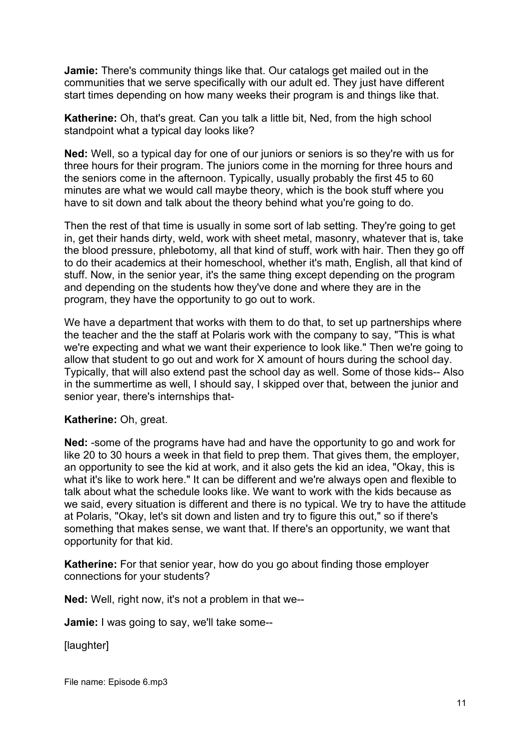**Jamie:** There's community things like that. Our catalogs get mailed out in the communities that we serve specifically with our adult ed. They just have different start times depending on how many weeks their program is and things like that.

**Katherine:** Oh, that's great. Can you talk a little bit, Ned, from the high school standpoint what a typical day looks like?

**Ned:** Well, so a typical day for one of our juniors or seniors is so they're with us for three hours for their program. The juniors come in the morning for three hours and the seniors come in the afternoon. Typically, usually probably the first 45 to 60 minutes are what we would call maybe theory, which is the book stuff where you have to sit down and talk about the theory behind what you're going to do.

Then the rest of that time is usually in some sort of lab setting. They're going to get in, get their hands dirty, weld, work with sheet metal, masonry, whatever that is, take the blood pressure, phlebotomy, all that kind of stuff, work with hair. Then they go off to do their academics at their homeschool, whether it's math, English, all that kind of stuff. Now, in the senior year, it's the same thing except depending on the program and depending on the students how they've done and where they are in the program, they have the opportunity to go out to work.

We have a department that works with them to do that, to set up partnerships where the teacher and the the staff at Polaris work with the company to say, "This is what we're expecting and what we want their experience to look like." Then we're going to allow that student to go out and work for X amount of hours during the school day. Typically, that will also extend past the school day as well. Some of those kids-- Also in the summertime as well, I should say, I skipped over that, between the junior and senior year, there's internships that-

## **Katherine:** Oh, great.

**Ned:** -some of the programs have had and have the opportunity to go and work for like 20 to 30 hours a week in that field to prep them. That gives them, the employer, an opportunity to see the kid at work, and it also gets the kid an idea, "Okay, this is what it's like to work here." It can be different and we're always open and flexible to talk about what the schedule looks like. We want to work with the kids because as we said, every situation is different and there is no typical. We try to have the attitude at Polaris, "Okay, let's sit down and listen and try to figure this out," so if there's something that makes sense, we want that. If there's an opportunity, we want that opportunity for that kid.

**Katherine:** For that senior year, how do you go about finding those employer connections for your students?

**Ned:** Well, right now, it's not a problem in that we--

**Jamie:** I was going to say, we'll take some--

[laughter]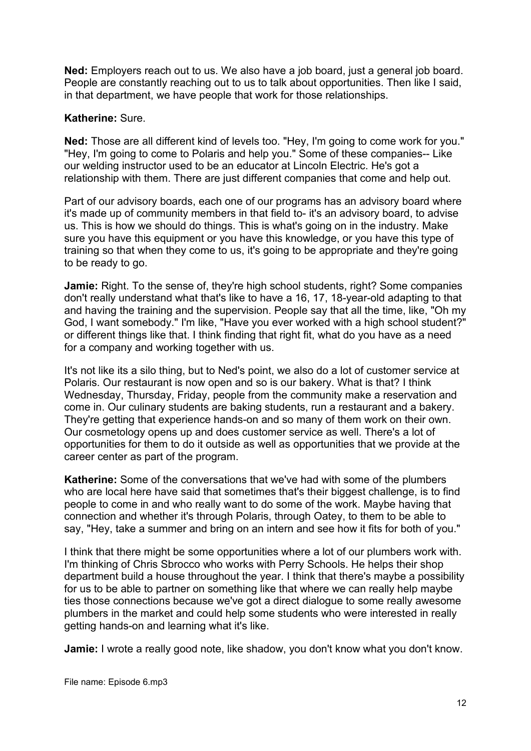**Ned:** Employers reach out to us. We also have a job board, just a general job board. People are constantly reaching out to us to talk about opportunities. Then like I said, in that department, we have people that work for those relationships.

#### **Katherine:** Sure.

**Ned:** Those are all different kind of levels too. "Hey, I'm going to come work for you." "Hey, I'm going to come to Polaris and help you." Some of these companies-- Like our welding instructor used to be an educator at Lincoln Electric. He's got a relationship with them. There are just different companies that come and help out.

Part of our advisory boards, each one of our programs has an advisory board where it's made up of community members in that field to- it's an advisory board, to advise us. This is how we should do things. This is what's going on in the industry. Make sure you have this equipment or you have this knowledge, or you have this type of training so that when they come to us, it's going to be appropriate and they're going to be ready to go.

**Jamie:** Right. To the sense of, they're high school students, right? Some companies don't really understand what that's like to have a 16, 17, 18-year-old adapting to that and having the training and the supervision. People say that all the time, like, "Oh my God, I want somebody." I'm like, "Have you ever worked with a high school student?" or different things like that. I think finding that right fit, what do you have as a need for a company and working together with us.

It's not like its a silo thing, but to Ned's point, we also do a lot of customer service at Polaris. Our restaurant is now open and so is our bakery. What is that? I think Wednesday, Thursday, Friday, people from the community make a reservation and come in. Our culinary students are baking students, run a restaurant and a bakery. They're getting that experience hands-on and so many of them work on their own. Our cosmetology opens up and does customer service as well. There's a lot of opportunities for them to do it outside as well as opportunities that we provide at the career center as part of the program.

**Katherine:** Some of the conversations that we've had with some of the plumbers who are local here have said that sometimes that's their biggest challenge, is to find people to come in and who really want to do some of the work. Maybe having that connection and whether it's through Polaris, through Oatey, to them to be able to say, "Hey, take a summer and bring on an intern and see how it fits for both of you."

I think that there might be some opportunities where a lot of our plumbers work with. I'm thinking of Chris Sbrocco who works with Perry Schools. He helps their shop department build a house throughout the year. I think that there's maybe a possibility for us to be able to partner on something like that where we can really help maybe ties those connections because we've got a direct dialogue to some really awesome plumbers in the market and could help some students who were interested in really getting hands-on and learning what it's like.

**Jamie:** I wrote a really good note, like shadow, you don't know what you don't know.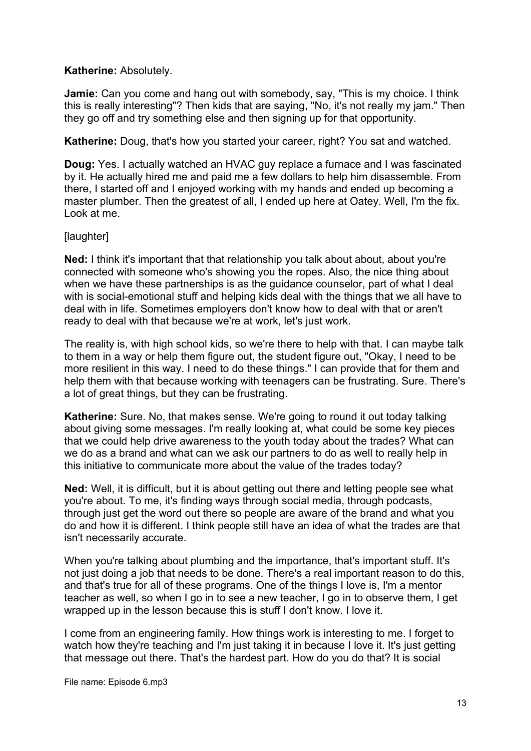## **Katherine:** Absolutely.

**Jamie:** Can you come and hang out with somebody, say, "This is my choice. I think this is really interesting"? Then kids that are saying, "No, it's not really my jam." Then they go off and try something else and then signing up for that opportunity.

**Katherine:** Doug, that's how you started your career, right? You sat and watched.

**Doug:** Yes. I actually watched an HVAC guy replace a furnace and I was fascinated by it. He actually hired me and paid me a few dollars to help him disassemble. From there, I started off and I enjoyed working with my hands and ended up becoming a master plumber. Then the greatest of all, I ended up here at Oatey. Well, I'm the fix. Look at me.

## [laughter]

**Ned:** I think it's important that that relationship you talk about about, about you're connected with someone who's showing you the ropes. Also, the nice thing about when we have these partnerships is as the guidance counselor, part of what I deal with is social-emotional stuff and helping kids deal with the things that we all have to deal with in life. Sometimes employers don't know how to deal with that or aren't ready to deal with that because we're at work, let's just work.

The reality is, with high school kids, so we're there to help with that. I can maybe talk to them in a way or help them figure out, the student figure out, "Okay, I need to be more resilient in this way. I need to do these things." I can provide that for them and help them with that because working with teenagers can be frustrating. Sure. There's a lot of great things, but they can be frustrating.

**Katherine:** Sure. No, that makes sense. We're going to round it out today talking about giving some messages. I'm really looking at, what could be some key pieces that we could help drive awareness to the youth today about the trades? What can we do as a brand and what can we ask our partners to do as well to really help in this initiative to communicate more about the value of the trades today?

**Ned:** Well, it is difficult, but it is about getting out there and letting people see what you're about. To me, it's finding ways through social media, through podcasts, through just get the word out there so people are aware of the brand and what you do and how it is different. I think people still have an idea of what the trades are that isn't necessarily accurate.

When you're talking about plumbing and the importance, that's important stuff. It's not just doing a job that needs to be done. There's a real important reason to do this, and that's true for all of these programs. One of the things I love is, I'm a mentor teacher as well, so when I go in to see a new teacher, I go in to observe them, I get wrapped up in the lesson because this is stuff I don't know. I love it.

I come from an engineering family. How things work is interesting to me. I forget to watch how they're teaching and I'm just taking it in because I love it. It's just getting that message out there. That's the hardest part. How do you do that? It is social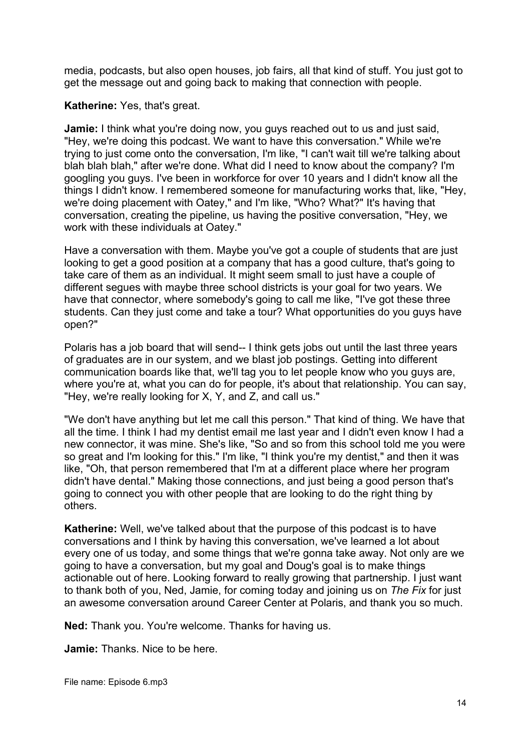media, podcasts, but also open houses, job fairs, all that kind of stuff. You just got to get the message out and going back to making that connection with people.

# **Katherine:** Yes, that's great.

**Jamie:** I think what you're doing now, you guys reached out to us and just said, "Hey, we're doing this podcast. We want to have this conversation." While we're trying to just come onto the conversation, I'm like, "I can't wait till we're talking about blah blah blah," after we're done. What did I need to know about the company? I'm googling you guys. I've been in workforce for over 10 years and I didn't know all the things I didn't know. I remembered someone for manufacturing works that, like, "Hey, we're doing placement with Oatey," and I'm like, "Who? What?" It's having that conversation, creating the pipeline, us having the positive conversation, "Hey, we work with these individuals at Oatey."

Have a conversation with them. Maybe you've got a couple of students that are just looking to get a good position at a company that has a good culture, that's going to take care of them as an individual. It might seem small to just have a couple of different segues with maybe three school districts is your goal for two years. We have that connector, where somebody's going to call me like, "I've got these three students. Can they just come and take a tour? What opportunities do you guys have open?"

Polaris has a job board that will send-- I think gets jobs out until the last three years of graduates are in our system, and we blast job postings. Getting into different communication boards like that, we'll tag you to let people know who you guys are, where you're at, what you can do for people, it's about that relationship. You can say, "Hey, we're really looking for X, Y, and Z, and call us."

"We don't have anything but let me call this person." That kind of thing. We have that all the time. I think I had my dentist email me last year and I didn't even know I had a new connector, it was mine. She's like, "So and so from this school told me you were so great and I'm looking for this." I'm like, "I think you're my dentist," and then it was like, "Oh, that person remembered that I'm at a different place where her program didn't have dental." Making those connections, and just being a good person that's going to connect you with other people that are looking to do the right thing by others.

**Katherine:** Well, we've talked about that the purpose of this podcast is to have conversations and I think by having this conversation, we've learned a lot about every one of us today, and some things that we're gonna take away. Not only are we going to have a conversation, but my goal and Doug's goal is to make things actionable out of here. Looking forward to really growing that partnership. I just want to thank both of you, Ned, Jamie, for coming today and joining us on *The Fix* for just an awesome conversation around Career Center at Polaris, and thank you so much.

**Ned:** Thank you. You're welcome. Thanks for having us.

**Jamie:** Thanks. Nice to be here.